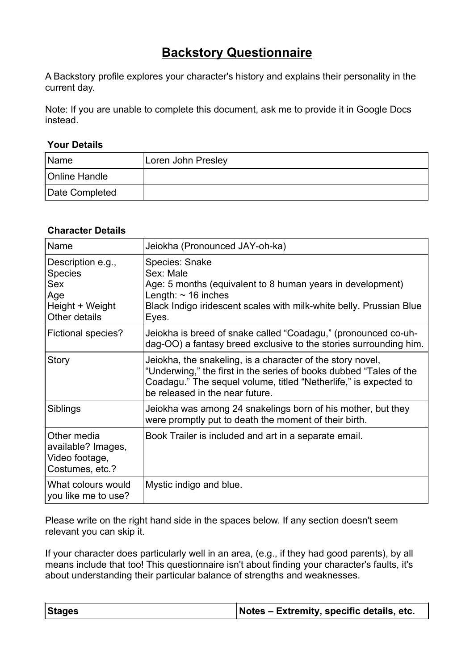## **Backstory Questionnaire**

A Backstory profile explores your character's history and explains their personality in the current day.

Note: If you are unable to complete this document, ask me to provide it in Google Docs instead.

## **Your Details**

| Name                 | Loren John Presley |
|----------------------|--------------------|
| <b>Online Handle</b> |                    |
| Date Completed       |                    |

## **Character Details**

| Name                                                                                  | Jeiokha (Pronounced JAY-oh-ka)                                                                                                                                                                                                          |
|---------------------------------------------------------------------------------------|-----------------------------------------------------------------------------------------------------------------------------------------------------------------------------------------------------------------------------------------|
| Description e.g.,<br><b>Species</b><br>Sex<br>Age<br>Height + Weight<br>Other details | <b>Species: Snake</b><br>Sex: Male<br>Age: 5 months (equivalent to 8 human years in development)<br>Length: $\sim$ 16 inches<br>Black Indigo iridescent scales with milk-white belly. Prussian Blue<br>Eyes.                            |
| Fictional species?                                                                    | Jeiokha is breed of snake called "Coadagu," (pronounced co-uh-<br>dag-OO) a fantasy breed exclusive to the stories surrounding him.                                                                                                     |
| <b>Story</b>                                                                          | Jeiokha, the snakeling, is a character of the story novel,<br>"Underwing," the first in the series of books dubbed "Tales of the<br>Coadagu." The sequel volume, titled "Netherlife," is expected to<br>be released in the near future. |
| Siblings                                                                              | Jeiokha was among 24 snakelings born of his mother, but they<br>were promptly put to death the moment of their birth.                                                                                                                   |
| Other media<br>available? Images,<br>Video footage,<br>Costumes, etc.?                | Book Trailer is included and art in a separate email.                                                                                                                                                                                   |
| What colours would<br>you like me to use?                                             | Mystic indigo and blue.                                                                                                                                                                                                                 |

Please write on the right hand side in the spaces below. If any section doesn't seem relevant you can skip it.

If your character does particularly well in an area, (e.g., if they had good parents), by all means include that too! This questionnaire isn't about finding your character's faults, it's about understanding their particular balance of strengths and weaknesses.

| <b>Stages</b> | Notes – Extremity, specific details, etc. |
|---------------|-------------------------------------------|
|---------------|-------------------------------------------|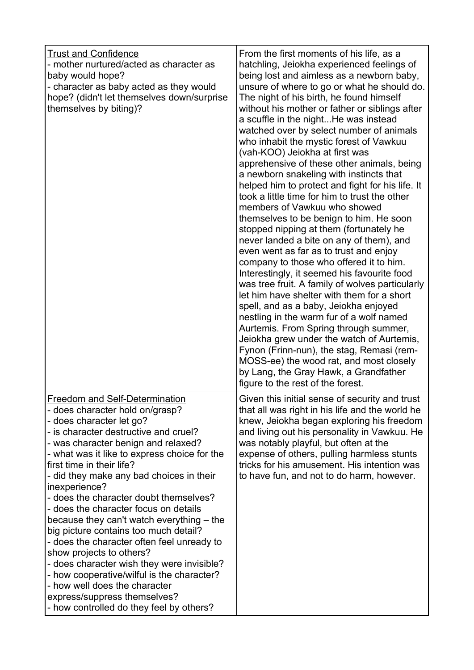| <b>Trust and Confidence</b><br>- mother nurtured/acted as character as<br>baby would hope?<br>- character as baby acted as they would<br>hope? (didn't let themselves down/surprise<br>themselves by biting)?                                                                                                                                                                                                                                                                                                                                                                                                                                                                                                                                                                              | From the first moments of his life, as a<br>hatchling, Jeiokha experienced feelings of<br>being lost and aimless as a newborn baby,<br>unsure of where to go or what he should do.<br>The night of his birth, he found himself<br>without his mother or father or siblings after<br>a scuffle in the nightHe was instead<br>watched over by select number of animals<br>who inhabit the mystic forest of Vawkuu<br>(vah-KOO) Jeiokha at first was<br>apprehensive of these other animals, being<br>a newborn snakeling with instincts that<br>helped him to protect and fight for his life. It<br>took a little time for him to trust the other<br>members of Vawkuu who showed<br>themselves to be benign to him. He soon<br>stopped nipping at them (fortunately he<br>never landed a bite on any of them), and<br>even went as far as to trust and enjoy<br>company to those who offered it to him.<br>Interestingly, it seemed his favourite food<br>was tree fruit. A family of wolves particularly<br>let him have shelter with them for a short<br>spell, and as a baby, Jeiokha enjoyed<br>nestling in the warm fur of a wolf named<br>Aurtemis. From Spring through summer,<br>Jeiokha grew under the watch of Aurtemis,<br>Fynon (Frinn-nun), the stag, Remasi (rem-<br>MOSS-ee) the wood rat, and most closely<br>by Lang, the Gray Hawk, a Grandfather<br>figure to the rest of the forest. |
|--------------------------------------------------------------------------------------------------------------------------------------------------------------------------------------------------------------------------------------------------------------------------------------------------------------------------------------------------------------------------------------------------------------------------------------------------------------------------------------------------------------------------------------------------------------------------------------------------------------------------------------------------------------------------------------------------------------------------------------------------------------------------------------------|---------------------------------------------------------------------------------------------------------------------------------------------------------------------------------------------------------------------------------------------------------------------------------------------------------------------------------------------------------------------------------------------------------------------------------------------------------------------------------------------------------------------------------------------------------------------------------------------------------------------------------------------------------------------------------------------------------------------------------------------------------------------------------------------------------------------------------------------------------------------------------------------------------------------------------------------------------------------------------------------------------------------------------------------------------------------------------------------------------------------------------------------------------------------------------------------------------------------------------------------------------------------------------------------------------------------------------------------------------------------------------------------------------|
| <b>Freedom and Self-Determination</b><br>- does character hold on/grasp?<br>- does character let go?<br>- is character destructive and cruel?<br>- was character benign and relaxed?<br>- what was it like to express choice for the<br>first time in their life?<br>- did they make any bad choices in their<br>inexperience?<br>- does the character doubt themselves?<br>- does the character focus on details<br>because they can't watch everything – the<br>big picture contains too much detail?<br>- does the character often feel unready to<br>show projects to others?<br>- does character wish they were invisible?<br>- how cooperative/wilful is the character?<br>- how well does the character<br>express/suppress themselves?<br>- how controlled do they feel by others? | Given this initial sense of security and trust<br>that all was right in his life and the world he<br>knew, Jeiokha began exploring his freedom<br>and living out his personality in Vawkuu. He<br>was notably playful, but often at the<br>expense of others, pulling harmless stunts<br>tricks for his amusement. His intention was<br>to have fun, and not to do harm, however.                                                                                                                                                                                                                                                                                                                                                                                                                                                                                                                                                                                                                                                                                                                                                                                                                                                                                                                                                                                                                       |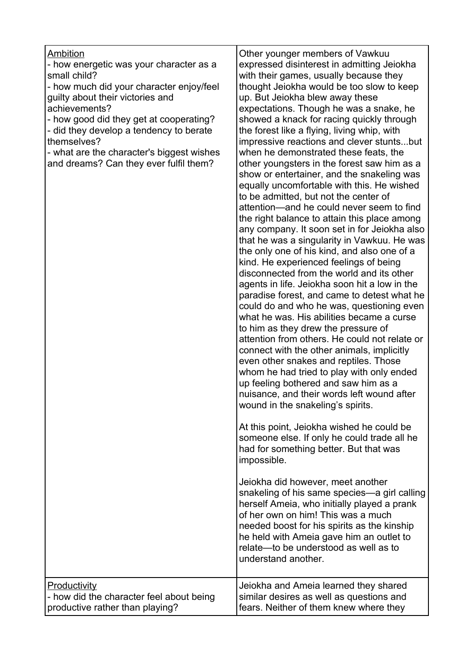| Other younger members of Vawkuu<br>Ambition<br>- how energetic was your character as a<br>expressed disinterest in admitting Jeiokha<br>small child?<br>with their games, usually because they<br>- how much did your character enjoy/feel<br>thought Jeiokha would be too slow to keep<br>guilty about their victories and<br>up. But Jeiokha blew away these<br>achievements?<br>expectations. Though he was a snake, he<br>- how good did they get at cooperating?<br>showed a knack for racing quickly through<br>- did they develop a tendency to berate<br>the forest like a flying, living whip, with<br>themselves?<br>- what are the character's biggest wishes<br>when he demonstrated these feats, the<br>and dreams? Can they ever fulfil them?<br>to be admitted, but not the center of<br>the only one of his kind, and also one of a<br>kind. He experienced feelings of being<br>disconnected from the world and its other<br>agents in life. Jeiokha soon hit a low in the<br>what he was. His abilities became a curse<br>to him as they drew the pressure of<br>connect with the other animals, implicitly<br>even other snakes and reptiles. Those<br>whom he had tried to play with only ended<br>up feeling bothered and saw him as a<br>nuisance, and their words left wound after<br>wound in the snakeling's spirits.<br>At this point, Jeiokha wished he could be<br>someone else. If only he could trade all he<br>had for something better. But that was<br>impossible.<br>Jeiokha did however, meet another<br>herself Ameia, who initially played a prank<br>of her own on him! This was a much<br>needed boost for his spirits as the kinship<br>he held with Ameia gave him an outlet to<br>relate-to be understood as well as to<br>understand another.<br><b>Productivity</b><br>Jeiokha and Ameia learned they shared |                                          |                                                                                                                                                                                                                                                                                                                                                                                                                                                                                                                                                                               |
|----------------------------------------------------------------------------------------------------------------------------------------------------------------------------------------------------------------------------------------------------------------------------------------------------------------------------------------------------------------------------------------------------------------------------------------------------------------------------------------------------------------------------------------------------------------------------------------------------------------------------------------------------------------------------------------------------------------------------------------------------------------------------------------------------------------------------------------------------------------------------------------------------------------------------------------------------------------------------------------------------------------------------------------------------------------------------------------------------------------------------------------------------------------------------------------------------------------------------------------------------------------------------------------------------------------------------------------------------------------------------------------------------------------------------------------------------------------------------------------------------------------------------------------------------------------------------------------------------------------------------------------------------------------------------------------------------------------------------------------------------------------------------------------------------------------------------------------------------------|------------------------------------------|-------------------------------------------------------------------------------------------------------------------------------------------------------------------------------------------------------------------------------------------------------------------------------------------------------------------------------------------------------------------------------------------------------------------------------------------------------------------------------------------------------------------------------------------------------------------------------|
|                                                                                                                                                                                                                                                                                                                                                                                                                                                                                                                                                                                                                                                                                                                                                                                                                                                                                                                                                                                                                                                                                                                                                                                                                                                                                                                                                                                                                                                                                                                                                                                                                                                                                                                                                                                                                                                          |                                          | impressive reactions and clever stuntsbut<br>other youngsters in the forest saw him as a<br>show or entertainer, and the snakeling was<br>equally uncomfortable with this. He wished<br>attention—and he could never seem to find<br>the right balance to attain this place among<br>any company. It soon set in for Jeiokha also<br>that he was a singularity in Vawkuu. He was<br>paradise forest, and came to detest what he<br>could do and who he was, questioning even<br>attention from others. He could not relate or<br>snakeling of his same species-a girl calling |
| productive rather than playing?<br>fears. Neither of them knew where they                                                                                                                                                                                                                                                                                                                                                                                                                                                                                                                                                                                                                                                                                                                                                                                                                                                                                                                                                                                                                                                                                                                                                                                                                                                                                                                                                                                                                                                                                                                                                                                                                                                                                                                                                                                | - how did the character feel about being | similar desires as well as questions and                                                                                                                                                                                                                                                                                                                                                                                                                                                                                                                                      |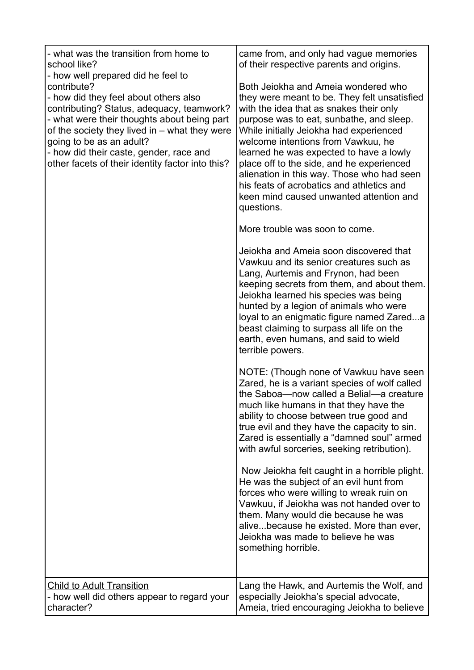| - what was the transition from home to<br>school like?<br>- how well prepared did he feel to<br>contribute?<br>- how did they feel about others also<br>contributing? Status, adequacy, teamwork?<br>- what were their thoughts about being part<br>of the society they lived in - what they were<br>going to be as an adult?<br>- how did their caste, gender, race and<br>other facets of their identity factor into this? | came from, and only had vague memories<br>of their respective parents and origins.<br>Both Jeiokha and Ameia wondered who<br>they were meant to be. They felt unsatisfied<br>with the idea that as snakes their only<br>purpose was to eat, sunbathe, and sleep.<br>While initially Jeiokha had experienced<br>welcome intentions from Vawkuu, he<br>learned he was expected to have a lowly<br>place off to the side, and he experienced<br>alienation in this way. Those who had seen<br>his feats of acrobatics and athletics and<br>keen mind caused unwanted attention and<br>questions.<br>More trouble was soon to come.<br>Jeiokha and Ameia soon discovered that<br>Vawkuu and its senior creatures such as<br>Lang, Aurtemis and Frynon, had been<br>keeping secrets from them, and about them.<br>Jeiokha learned his species was being<br>hunted by a legion of animals who were<br>loyal to an enigmatic figure named Zareda<br>beast claiming to surpass all life on the<br>earth, even humans, and said to wield<br>terrible powers.<br>NOTE: (Though none of Vawkuu have seen<br>Zared, he is a variant species of wolf called<br>the Saboa-now called a Belial-a creature<br>much like humans in that they have the<br>ability to choose between true good and<br>true evil and they have the capacity to sin.<br>Zared is essentially a "damned soul" armed<br>with awful sorceries, seeking retribution).<br>Now Jeiokha felt caught in a horrible plight.<br>He was the subject of an evil hunt from<br>forces who were willing to wreak ruin on<br>Vawkuu, if Jeiokha was not handed over to<br>them. Many would die because he was<br>alivebecause he existed. More than ever,<br>Jeiokha was made to believe he was<br>something horrible. |
|------------------------------------------------------------------------------------------------------------------------------------------------------------------------------------------------------------------------------------------------------------------------------------------------------------------------------------------------------------------------------------------------------------------------------|-------------------------------------------------------------------------------------------------------------------------------------------------------------------------------------------------------------------------------------------------------------------------------------------------------------------------------------------------------------------------------------------------------------------------------------------------------------------------------------------------------------------------------------------------------------------------------------------------------------------------------------------------------------------------------------------------------------------------------------------------------------------------------------------------------------------------------------------------------------------------------------------------------------------------------------------------------------------------------------------------------------------------------------------------------------------------------------------------------------------------------------------------------------------------------------------------------------------------------------------------------------------------------------------------------------------------------------------------------------------------------------------------------------------------------------------------------------------------------------------------------------------------------------------------------------------------------------------------------------------------------------------------------------------------------------------------------------------------------------------------------------------|
| <b>Child to Adult Transition</b>                                                                                                                                                                                                                                                                                                                                                                                             | Lang the Hawk, and Aurtemis the Wolf, and                                                                                                                                                                                                                                                                                                                                                                                                                                                                                                                                                                                                                                                                                                                                                                                                                                                                                                                                                                                                                                                                                                                                                                                                                                                                                                                                                                                                                                                                                                                                                                                                                                                                                                                         |
| - how well did others appear to regard your                                                                                                                                                                                                                                                                                                                                                                                  | especially Jeiokha's special advocate,                                                                                                                                                                                                                                                                                                                                                                                                                                                                                                                                                                                                                                                                                                                                                                                                                                                                                                                                                                                                                                                                                                                                                                                                                                                                                                                                                                                                                                                                                                                                                                                                                                                                                                                            |
| character?                                                                                                                                                                                                                                                                                                                                                                                                                   | Ameia, tried encouraging Jeiokha to believe                                                                                                                                                                                                                                                                                                                                                                                                                                                                                                                                                                                                                                                                                                                                                                                                                                                                                                                                                                                                                                                                                                                                                                                                                                                                                                                                                                                                                                                                                                                                                                                                                                                                                                                       |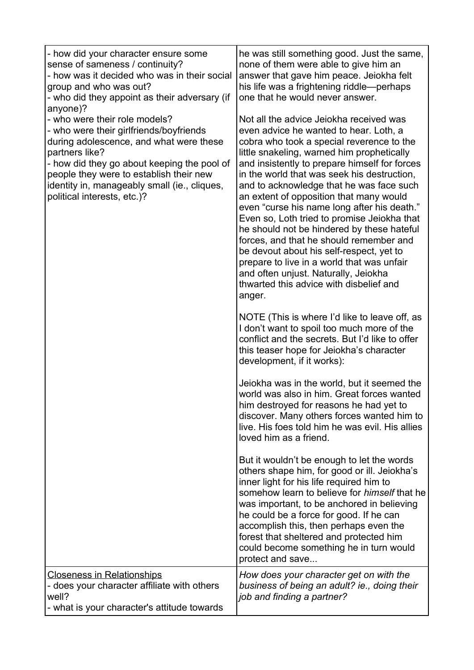| - how did your character ensure some<br>sense of sameness / continuity?<br>- how was it decided who was in their social<br>group and who was out?<br>- who did they appoint as their adversary (if<br>anyone)?                                                                                                 | he was still something good. Just the same,<br>none of them were able to give him an<br>answer that gave him peace. Jeiokha felt<br>his life was a frightening riddle—perhaps<br>one that he would never answer.                                                                                                                                                                                                                                                                                                                                                                                                                                                                                                                                  |
|----------------------------------------------------------------------------------------------------------------------------------------------------------------------------------------------------------------------------------------------------------------------------------------------------------------|---------------------------------------------------------------------------------------------------------------------------------------------------------------------------------------------------------------------------------------------------------------------------------------------------------------------------------------------------------------------------------------------------------------------------------------------------------------------------------------------------------------------------------------------------------------------------------------------------------------------------------------------------------------------------------------------------------------------------------------------------|
| - who were their role models?<br>- who were their girlfriends/boyfriends<br>during adolescence, and what were these<br>partners like?<br>- how did they go about keeping the pool of<br>people they were to establish their new<br>identity in, manageably small (ie., cliques,<br>political interests, etc.)? | Not all the advice Jeiokha received was<br>even advice he wanted to hear. Loth, a<br>cobra who took a special reverence to the<br>little snakeling, warned him prophetically<br>and insistently to prepare himself for forces<br>in the world that was seek his destruction,<br>and to acknowledge that he was face such<br>an extent of opposition that many would<br>even "curse his name long after his death."<br>Even so, Loth tried to promise Jeiokha that<br>he should not be hindered by these hateful<br>forces, and that he should remember and<br>be devout about his self-respect, yet to<br>prepare to live in a world that was unfair<br>and often unjust. Naturally, Jeiokha<br>thwarted this advice with disbelief and<br>anger. |
|                                                                                                                                                                                                                                                                                                                | NOTE (This is where I'd like to leave off, as<br>I don't want to spoil too much more of the<br>conflict and the secrets. But I'd like to offer<br>this teaser hope for Jeiokha's character<br>development, if it works):                                                                                                                                                                                                                                                                                                                                                                                                                                                                                                                          |
|                                                                                                                                                                                                                                                                                                                | Jeiokha was in the world, but it seemed the<br>world was also in him. Great forces wanted<br>him destroyed for reasons he had yet to<br>discover. Many others forces wanted him to<br>live. His foes told him he was evil. His allies<br>loved him as a friend.                                                                                                                                                                                                                                                                                                                                                                                                                                                                                   |
|                                                                                                                                                                                                                                                                                                                | But it wouldn't be enough to let the words<br>others shape him, for good or ill. Jeiokha's<br>inner light for his life required him to<br>somehow learn to believe for <i>himself</i> that he<br>was important, to be anchored in believing<br>he could be a force for good. If he can<br>accomplish this, then perhaps even the<br>forest that sheltered and protected him<br>could become something he in turn would<br>protect and save                                                                                                                                                                                                                                                                                                        |
| <b>Closeness in Relationships</b><br>- does your character affiliate with others<br>well?<br>- what is your character's attitude towards                                                                                                                                                                       | How does your character get on with the<br>business of being an adult? ie., doing their<br>job and finding a partner?                                                                                                                                                                                                                                                                                                                                                                                                                                                                                                                                                                                                                             |